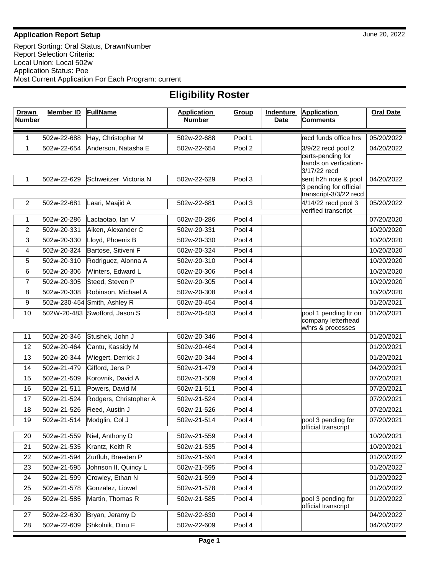## **Application Report Setup** June 20, 2022

Report Sorting: Oral Status, DrawnNumber Report Selection Criteria: Local Union: Local 502w Application Status: Poe Most Current Application For Each Program: current

| ' Murrial<br>$\ddot{\phantom{a}}$ |                            |                                        |                                     |                  |                          |                                                            |                          |  |  |  |
|-----------------------------------|----------------------------|----------------------------------------|-------------------------------------|------------------|--------------------------|------------------------------------------------------------|--------------------------|--|--|--|
| <b>Drawn</b><br><b>Number</b>     | <b>Member ID</b>           | <b>FullName</b>                        | <b>Application</b><br><b>Number</b> | Group            | Indenture<br><b>Date</b> | <b>Application</b><br><b>Comments</b>                      | <b>Oral Date</b>         |  |  |  |
| 1                                 | 502w-22-688                | Hay, Christopher M                     | 502w-22-688                         | Pool 1           |                          | recd funds office hrs                                      | 05/20/2022               |  |  |  |
| 1                                 | 502w-22-654                | Anderson, Natasha E                    | 502w-22-654                         | Pool 2           |                          | 3/9/22 recd pool 2                                         | 04/20/2022               |  |  |  |
|                                   |                            |                                        |                                     |                  |                          | certs-pending for<br>hands on verfication-<br>3/17/22 recd |                          |  |  |  |
| 1                                 | 502w-22-629                | Schweitzer, Victoria N                 | 502w-22-629                         | Pool 3           |                          | sent h2h note & pool                                       | 04/20/2022               |  |  |  |
|                                   |                            |                                        |                                     |                  |                          | 3 pending for official<br>transcript-3/3/22 recd           |                          |  |  |  |
| $\overline{c}$                    | 502w-22-681                | Laari, Maajid A                        | 502w-22-681                         | Pool 3           |                          | 4/14/22 recd pool 3                                        | 05/20/2022               |  |  |  |
|                                   |                            |                                        |                                     |                  |                          | verified transcript                                        |                          |  |  |  |
| 1                                 | 502w-20-286                | Lactaotao, Ian V                       | 502w-20-286                         | Pool 4           |                          |                                                            | 07/20/2020               |  |  |  |
| 2<br>$\mathbf{3}$                 | 502w-20-331<br>502w-20-330 | Aiken, Alexander C<br>Lloyd, Phoenix B | 502w-20-331                         | Pool 4<br>Pool 4 |                          |                                                            | 10/20/2020               |  |  |  |
|                                   | 502w-20-324                | Bartose, Sitiveni F                    | 502w-20-330                         | Pool 4           |                          |                                                            | 10/20/2020               |  |  |  |
| 4<br>5                            | 502w-20-310                | Rodriguez, Alonna A                    | 502w-20-324<br>502w-20-310          | Pool 4           |                          |                                                            | 10/20/2020<br>10/20/2020 |  |  |  |
| 6                                 | 502w-20-306                | Winters, Edward L                      | 502w-20-306                         | Pool 4           |                          |                                                            | 10/20/2020               |  |  |  |
| 7                                 | 502w-20-305                | Steed, Steven P                        | 502w-20-305                         | Pool 4           |                          |                                                            | 10/20/2020               |  |  |  |
| 8                                 | 502w-20-308                | Robinson, Michael A                    | 502w-20-308                         | Pool 4           |                          |                                                            | 10/20/2020               |  |  |  |
| 9                                 |                            | 502w-230-454 Smith, Ashley R           | 502w-20-454                         | Pool 4           |                          |                                                            | 01/20/2021               |  |  |  |
| 10                                |                            | 502W-20-483 Swofford, Jason S          | 502w-20-483                         | Pool 4           |                          | pool 1 pending Itr on                                      | 01/20/2021               |  |  |  |
|                                   |                            |                                        |                                     |                  |                          | company letterhead<br>w/hrs & processes                    |                          |  |  |  |
| 11                                | 502w-20-346                | Stushek, John J                        | 502w-20-346                         | Pool 4           |                          |                                                            | 01/20/2021               |  |  |  |
| 12                                | 502w-20-464                | Cantu, Kassidy M                       | 502w-20-464                         | Pool 4           |                          |                                                            | 01/20/2021               |  |  |  |
| 13                                | 502w-20-344                | Wiegert, Derrick J                     | 502w-20-344                         | Pool 4           |                          |                                                            | 01/20/2021               |  |  |  |
| 14                                | 502w-21-479                | Gifford, Jens P                        | 502w-21-479                         | Pool 4           |                          |                                                            | 04/20/2021               |  |  |  |
| 15                                | 502w-21-509                | Korovnik, David A                      | 502w-21-509                         | Pool 4           |                          |                                                            | 07/20/2021               |  |  |  |
| 16                                | 502w-21-511                | Powers, David M                        | 502w-21-511                         | Pool 4           |                          |                                                            | 07/20/2021               |  |  |  |
| 17                                | 502w-21-524                | Rodgers, Christopher A                 | 502w-21-524                         | Pool 4           |                          |                                                            | 07/20/2021               |  |  |  |
| 18                                | 502w-21-526                | Reed, Austin J                         | 502w-21-526                         | Pool 4           |                          |                                                            | 07/20/2021               |  |  |  |
| 19                                | 502w-21-514                | Modglin, Col J                         | 502w-21-514                         | Pool 4           |                          | pool 3 pending for                                         | 07/20/2021               |  |  |  |
| 20                                | 502w-21-559                | Niel, Anthony D                        | 502w-21-559                         | Pool 4           |                          | official transcript                                        | 10/20/2021               |  |  |  |
| 21                                | 502w-21-535                | Krantz, Keith R                        | 502w-21-535                         | Pool 4           |                          |                                                            | 10/20/2021               |  |  |  |
| 22                                | 502w-21-594                | Zurfluh, Braeden P                     | 502w-21-594                         | Pool 4           |                          |                                                            | 01/20/2022               |  |  |  |
| 23                                | 502w-21-595                | Johnson II, Quincy L                   | 502w-21-595                         | Pool 4           |                          |                                                            | 01/20/2022               |  |  |  |
| 24                                | 502w-21-599                | Crowley, Ethan N                       | 502w-21-599                         | Pool 4           |                          |                                                            | 01/20/2022               |  |  |  |
| 25                                | 502w-21-578                | Gonzalez, Liowel                       | 502w-21-578                         | Pool 4           |                          |                                                            | 01/20/2022               |  |  |  |
| 26                                | 502w-21-585                | Martin, Thomas R                       | 502w-21-585                         | Pool 4           |                          | pool 3 pending for                                         | 01/20/2022               |  |  |  |
|                                   |                            |                                        |                                     |                  |                          | official transcript                                        |                          |  |  |  |
| 27                                | 502w-22-630                | Bryan, Jeramy D                        | 502w-22-630                         | Pool 4           |                          |                                                            | 04/20/2022               |  |  |  |
| 28                                | 502w-22-609                | Shkolnik, Dinu F                       | 502w-22-609                         | Pool 4           |                          |                                                            | 04/20/2022               |  |  |  |

## **Eligibility Roster**